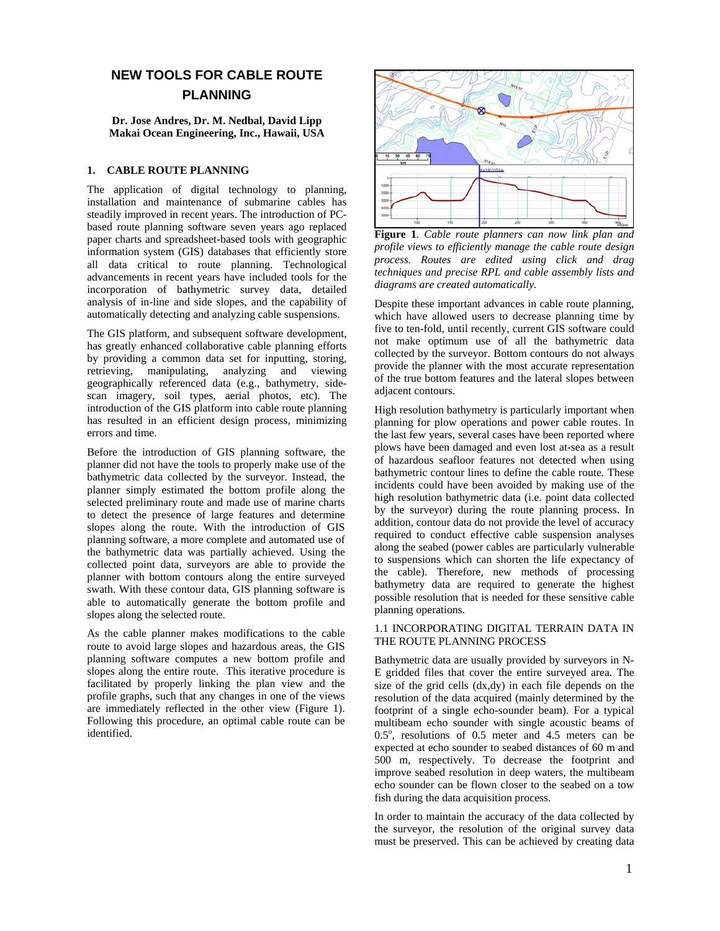# **NEW TOOLS FOR CABLE ROUTE PLANNING**

**Dr. Jose Andres, Dr. M. Nedbal, David Lipp Makai Ocean Engineering, Inc., Hawaii, USA** 

#### **1. CABLE ROUTE PLANNING**

The application of digital technology to planning, installation and maintenance of submarine cables has steadily improved in recent years. The introduction of PCbased route planning software seven years ago replaced paper charts and spreadsheet-based tools with geographic information system (GIS) databases that efficiently store all data critical to route planning. Technological advancements in recent years have included tools for the incorporation of bathymetric survey data, detailed analysis of in-line and side slopes, and the capability of automatically detecting and analyzing cable suspensions.

The GIS platform, and subsequent software development, has greatly enhanced collaborative cable planning efforts by providing a common data set for inputting, storing, retrieving, manipulating, analyzing and viewing geographically referenced data (e.g., bathymetry, sidescan imagery, soil types, aerial photos, etc). The introduction of the GIS platform into cable route planning has resulted in an efficient design process, minimizing errors and time.

Before the introduction of GIS planning software, the planner did not have the tools to properly make use of the bathymetric data collected by the surveyor. Instead, the planner simply estimated the bottom profile along the selected preliminary route and made use of marine charts to detect the presence of large features and determine slopes along the route. With the introduction of GIS planning software, a more complete and automated use of the bathymetric data was partially achieved. Using the collected point data, surveyors are able to provide the planner with bottom contours along the entire surveyed swath. With these contour data, GIS planning software is able to automatically generate the bottom profile and slopes along the selected route.

As the cable planner makes modifications to the cable route to avoid large slopes and hazardous areas, the GIS planning software computes a new bottom profile and slopes along the entire route. This iterative procedure is facilitated by properly linking the plan view and the profile graphs, such that any changes in one of the views are immediately reflected in the other view (Figure 1). Following this procedure, an optimal cable route can be identified.



**Figure 1***. Cable route planners can now link plan and profile views to efficiently manage the cable route design process. Routes are edited using click and drag techniques and precise RPL and cable assembly lists and diagrams are created automatically.* 

Despite these important advances in cable route planning, which have allowed users to decrease planning time by five to ten-fold, until recently, current GIS software could not make optimum use of all the bathymetric data collected by the surveyor. Bottom contours do not always provide the planner with the most accurate representation of the true bottom features and the lateral slopes between adjacent contours.

High resolution bathymetry is particularly important when planning for plow operations and power cable routes. In the last few years, several cases have been reported where plows have been damaged and even lost at-sea as a result of hazardous seafloor features not detected when using bathymetric contour lines to define the cable route. These incidents could have been avoided by making use of the high resolution bathymetric data (i.e. point data collected by the surveyor) during the route planning process. In addition, contour data do not provide the level of accuracy required to conduct effective cable suspension analyses along the seabed (power cables are particularly vulnerable to suspensions which can shorten the life expectancy of the cable). Therefore, new methods of processing bathymetry data are required to generate the highest possible resolution that is needed for these sensitive cable planning operations.

### 1.1 INCORPORATING DIGITAL TERRAIN DATA IN THE ROUTE PLANNING PROCESS

Bathymetric data are usually provided by surveyors in N-E gridded files that cover the entire surveyed area. The size of the grid cells (dx,dy) in each file depends on the resolution of the data acquired (mainly determined by the footprint of a single echo-sounder beam). For a typical multibeam echo sounder with single acoustic beams of 0.5°, resolutions of 0.5 meter and 4.5 meters can be expected at echo sounder to seabed distances of 60 m and 500 m, respectively. To decrease the footprint and improve seabed resolution in deep waters, the multibeam echo sounder can be flown closer to the seabed on a tow fish during the data acquisition process.

In order to maintain the accuracy of the data collected by the surveyor, the resolution of the original survey data must be preserved. This can be achieved by creating data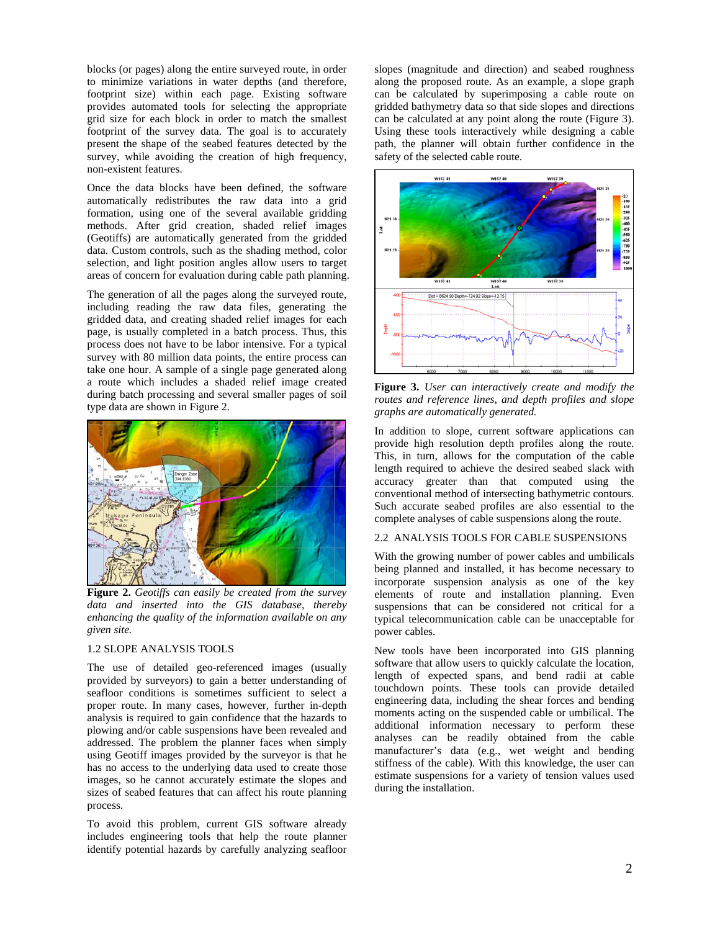blocks (or pages) along the entire surveyed route, in order to minimize variations in water depths (and therefore, footprint size) within each page. Existing software provides automated tools for selecting the appropriate grid size for each block in order to match the smallest footprint of the survey data. The goal is to accurately present the shape of the seabed features detected by the survey, while avoiding the creation of high frequency, non-existent features.

Once the data blocks have been defined, the software automatically redistributes the raw data into a grid formation, using one of the several available gridding methods. After grid creation, shaded relief images (Geotiffs) are automatically generated from the gridded data. Custom controls, such as the shading method, color selection, and light position angles allow users to target areas of concern for evaluation during cable path planning.

The generation of all the pages along the surveyed route, including reading the raw data files, generating the gridded data, and creating shaded relief images for each page, is usually completed in a batch process. Thus, this process does not have to be labor intensive. For a typical survey with 80 million data points, the entire process can take one hour. A sample of a single page generated along a route which includes a shaded relief image created during batch processing and several smaller pages of soil type data are shown in Figure 2.



**Figure 2.** *Geotiffs can easily be created from the survey data and inserted into the GIS database, thereby enhancing the quality of the information available on any given site.*

#### 1.2 SLOPE ANALYSIS TOOLS

The use of detailed geo-referenced images (usually provided by surveyors) to gain a better understanding of seafloor conditions is sometimes sufficient to select a proper route. In many cases, however, further in-depth analysis is required to gain confidence that the hazards to plowing and/or cable suspensions have been revealed and addressed. The problem the planner faces when simply using Geotiff images provided by the surveyor is that he has no access to the underlying data used to create those images, so he cannot accurately estimate the slopes and sizes of seabed features that can affect his route planning process.

To avoid this problem, current GIS software already includes engineering tools that help the route planner identify potential hazards by carefully analyzing seafloor slopes (magnitude and direction) and seabed roughness along the proposed route. As an example, a slope graph can be calculated by superimposing a cable route on gridded bathymetry data so that side slopes and directions can be calculated at any point along the route (Figure 3). Using these tools interactively while designing a cable path, the planner will obtain further confidence in the safety of the selected cable route.



**Figure 3.** *User can interactively create and modify the routes and reference lines, and depth profiles and slope graphs are automatically generated.*

In addition to slope, current software applications can provide high resolution depth profiles along the route. This, in turn, allows for the computation of the cable length required to achieve the desired seabed slack with accuracy greater than that computed using the conventional method of intersecting bathymetric contours. Such accurate seabed profiles are also essential to the complete analyses of cable suspensions along the route.

#### 2.2 ANALYSIS TOOLS FOR CABLE SUSPENSIONS

With the growing number of power cables and umbilicals being planned and installed, it has become necessary to incorporate suspension analysis as one of the key elements of route and installation planning. Even suspensions that can be considered not critical for a typical telecommunication cable can be unacceptable for power cables.

New tools have been incorporated into GIS planning software that allow users to quickly calculate the location, length of expected spans, and bend radii at cable touchdown points. These tools can provide detailed engineering data, including the shear forces and bending moments acting on the suspended cable or umbilical. The additional information necessary to perform these analyses can be readily obtained from the cable manufacturer's data (e.g., wet weight and bending stiffness of the cable). With this knowledge, the user can estimate suspensions for a variety of tension values used during the installation.